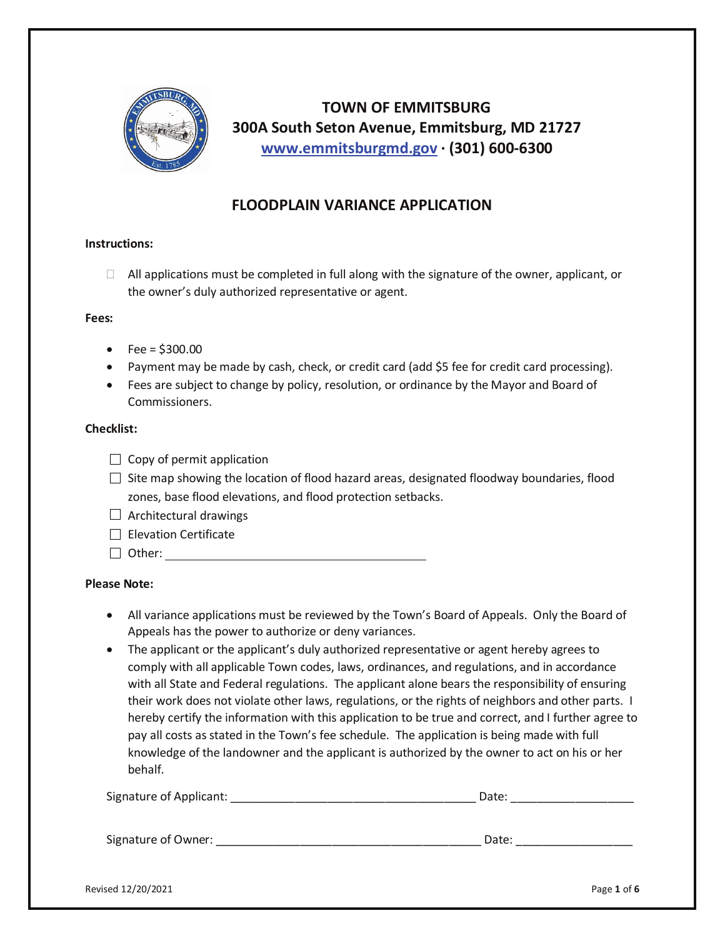

# **TOWN OF EMMITSBURG 300A South Seton Avenue, Emmitsburg, MD 21727 [www.emmitsburgmd.gov](http://www.emmitsburgmd.gov/) · (301) 600-6300**

# **FLOODPLAIN VARIANCE APPLICATION**

### **Instructions:**

 $\Box$  All applications must be completed in full along with the signature of the owner, applicant, or the owner's duly authorized representative or agent.

#### **Fees:**

- Fee =  $$300.00$
- Payment may be made by cash, check, or credit card (add \$5 fee for credit card processing).
- Fees are subject to change by policy, resolution, or ordinance by the Mayor and Board of Commissioners.

#### **Checklist:**

- $\Box$  Copy of permit application
- $\Box$  Site map showing the location of flood hazard areas, designated floodway boundaries, flood zones, base flood elevations, and flood protection setbacks.
- $\Box$  Architectural drawings
- $\Box$  Elevation Certificate
- □ Other: www.com/watch?com/watch?com/watch?com/watch?com/watch?com/watch?com/watch?com/watch?com/watch?com/watch?com/

#### **Please Note:**

- All variance applications must be reviewed by the Town's Board of Appeals. Only the Board of Appeals has the power to authorize or deny variances.
- The applicant or the applicant's duly authorized representative or agent hereby agrees to comply with all applicable Town codes, laws, ordinances, and regulations, and in accordance with all State and Federal regulations. The applicant alone bears the responsibility of ensuring their work does not violate other laws, regulations, or the rights of neighbors and other parts. I hereby certify the information with this application to be true and correct, and I further agree to pay all costs as stated in the Town's fee schedule. The application is being made with full knowledge of the landowner and the applicant is authorized by the owner to act on his or her behalf.

| Signature of Applicant: | Date: |
|-------------------------|-------|
|                         |       |
| Signature of Owner:     | Date: |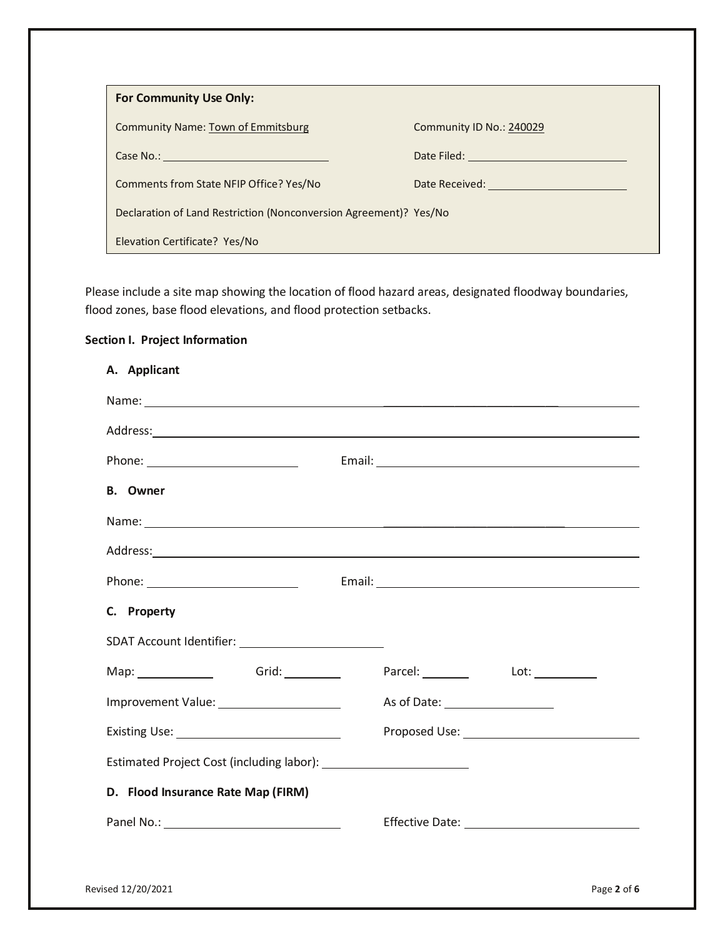| For Community Use Only:                                           |                          |
|-------------------------------------------------------------------|--------------------------|
| <b>Community Name: Town of Emmitsburg</b>                         | Community ID No.: 240029 |
| Case No.:                                                         | Date Filed:              |
| Comments from State NFIP Office? Yes/No                           | Date Received:           |
| Declaration of Land Restriction (Nonconversion Agreement)? Yes/No |                          |
| Elevation Certificate? Yes/No                                     |                          |

Please include a site map showing the location of flood hazard areas, designated floodway boundaries, flood zones, base flood elevations, and flood protection setbacks.

## **Section I. Project Information**

| Address: Address: Address: Address: Address: Address: Address: Address: Address: Address: Address: Address: Address: Address: Address: Address: Address: Address: Address: Address: Address: Address: Address: Address: Addres |
|--------------------------------------------------------------------------------------------------------------------------------------------------------------------------------------------------------------------------------|
|                                                                                                                                                                                                                                |
|                                                                                                                                                                                                                                |
|                                                                                                                                                                                                                                |
| Address: Address: Address: Address: Address: Address: Address: Address: Address: Address: Address: Address: Address: Address: Address: Address: Address: Address: Address: Address: Address: Address: Address: Address: Addres |
|                                                                                                                                                                                                                                |
|                                                                                                                                                                                                                                |
|                                                                                                                                                                                                                                |
| Parcel: Lot: Lot:<br>Map: _________________  Grid: ___________                                                                                                                                                                 |
| Improvement Value: _______________________                                                                                                                                                                                     |
|                                                                                                                                                                                                                                |
|                                                                                                                                                                                                                                |
|                                                                                                                                                                                                                                |
|                                                                                                                                                                                                                                |
|                                                                                                                                                                                                                                |
|                                                                                                                                                                                                                                |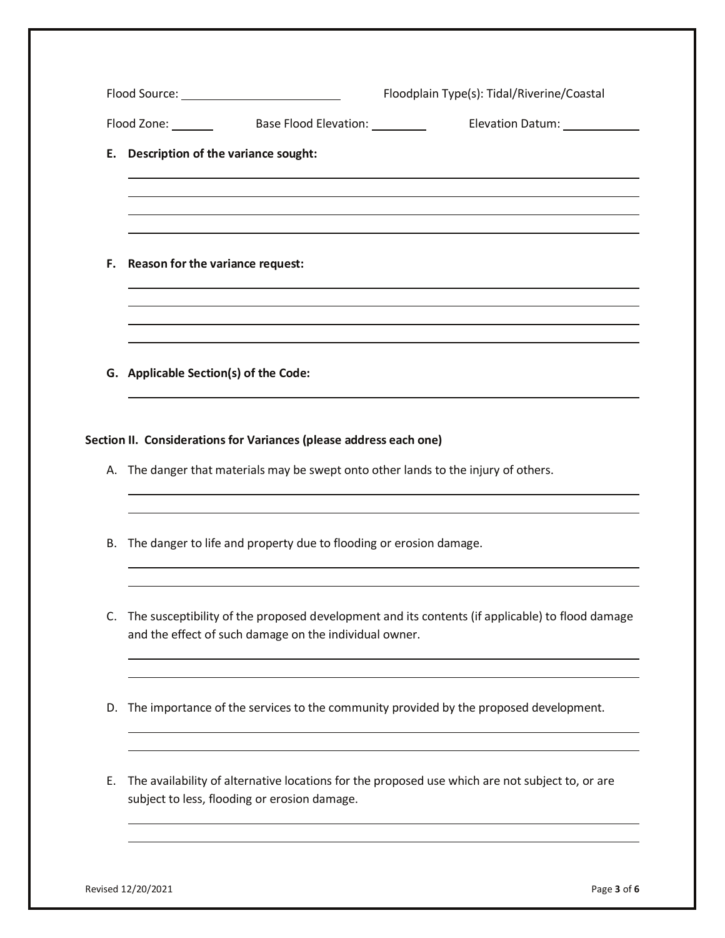|    |                                  |                                                                    | Elevation Datum: 1988                                                                              |
|----|----------------------------------|--------------------------------------------------------------------|----------------------------------------------------------------------------------------------------|
| Е. |                                  | Description of the variance sought:                                |                                                                                                    |
| F. | Reason for the variance request: |                                                                    |                                                                                                    |
|    |                                  | G. Applicable Section(s) of the Code:                              |                                                                                                    |
|    |                                  |                                                                    |                                                                                                    |
|    |                                  | Section II. Considerations for Variances (please address each one) | A. The danger that materials may be swept onto other lands to the injury of others.                |
| В. |                                  | The danger to life and property due to flooding or erosion damage. |                                                                                                    |
|    |                                  | and the effect of such damage on the individual owner.             | C. The susceptibility of the proposed development and its contents (if applicable) to flood damage |
| D. |                                  |                                                                    | The importance of the services to the community provided by the proposed development.              |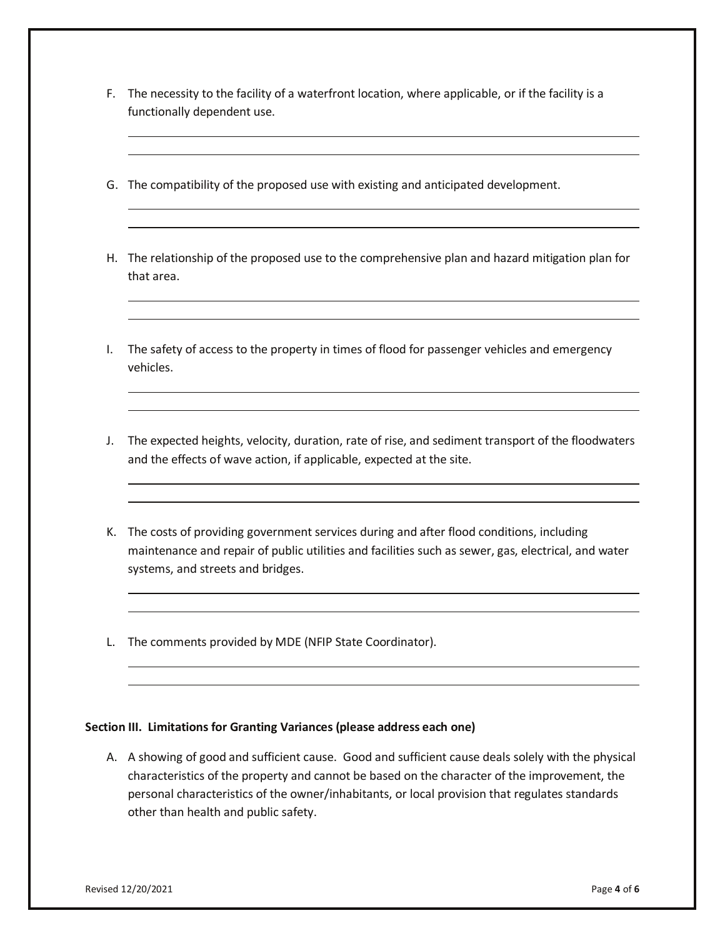- F. The necessity to the facility of a waterfront location, where applicable, or if the facility is a functionally dependent use.
- G. The compatibility of the proposed use with existing and anticipated development.
- H. The relationship of the proposed use to the comprehensive plan and hazard mitigation plan for that area.
- I. The safety of access to the property in times of flood for passenger vehicles and emergency vehicles.
- J. The expected heights, velocity, duration, rate of rise, and sediment transport of the floodwaters and the effects of wave action, if applicable, expected at the site.
- K. The costs of providing government services during and after flood conditions, including maintenance and repair of public utilities and facilities such as sewer, gas, electrical, and water systems, and streets and bridges.
- L. The comments provided by MDE (NFIP State Coordinator).

### **Section III. Limitations for Granting Variances (please address each one)**

A. A showing of good and sufficient cause. Good and sufficient cause deals solely with the physical characteristics of the property and cannot be based on the character of the improvement, the personal characteristics of the owner/inhabitants, or local provision that regulates standards other than health and public safety.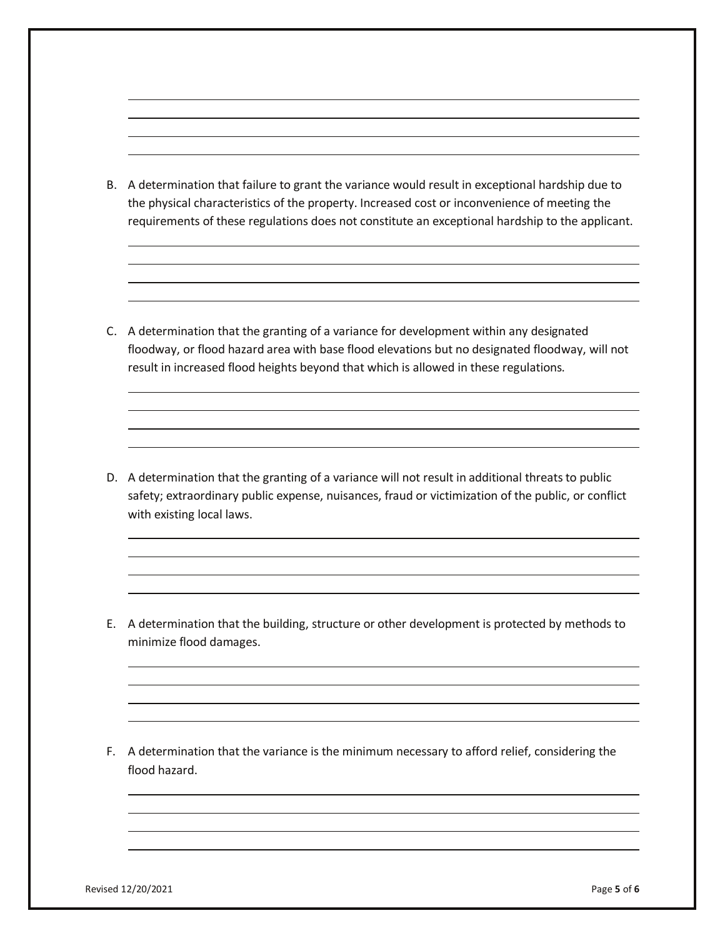B. A determination that failure to grant the variance would result in exceptional hardship due to the physical characteristics of the property. Increased cost or inconvenience of meeting the requirements of these regulations does not constitute an exceptional hardship to the applicant.

C. A determination that the granting of a variance for development within any designated floodway, or flood hazard area with base flood elevations but no designated floodway, will not result in increased flood heights beyond that which is allowed in these regulations.

D. A determination that the granting of a variance will not result in additional threats to public safety; extraordinary public expense, nuisances, fraud or victimization of the public, or conflict with existing local laws.

E. A determination that the building, structure or other development is protected by methods to minimize flood damages.

F. A determination that the variance is the minimum necessary to afford relief, considering the flood hazard.